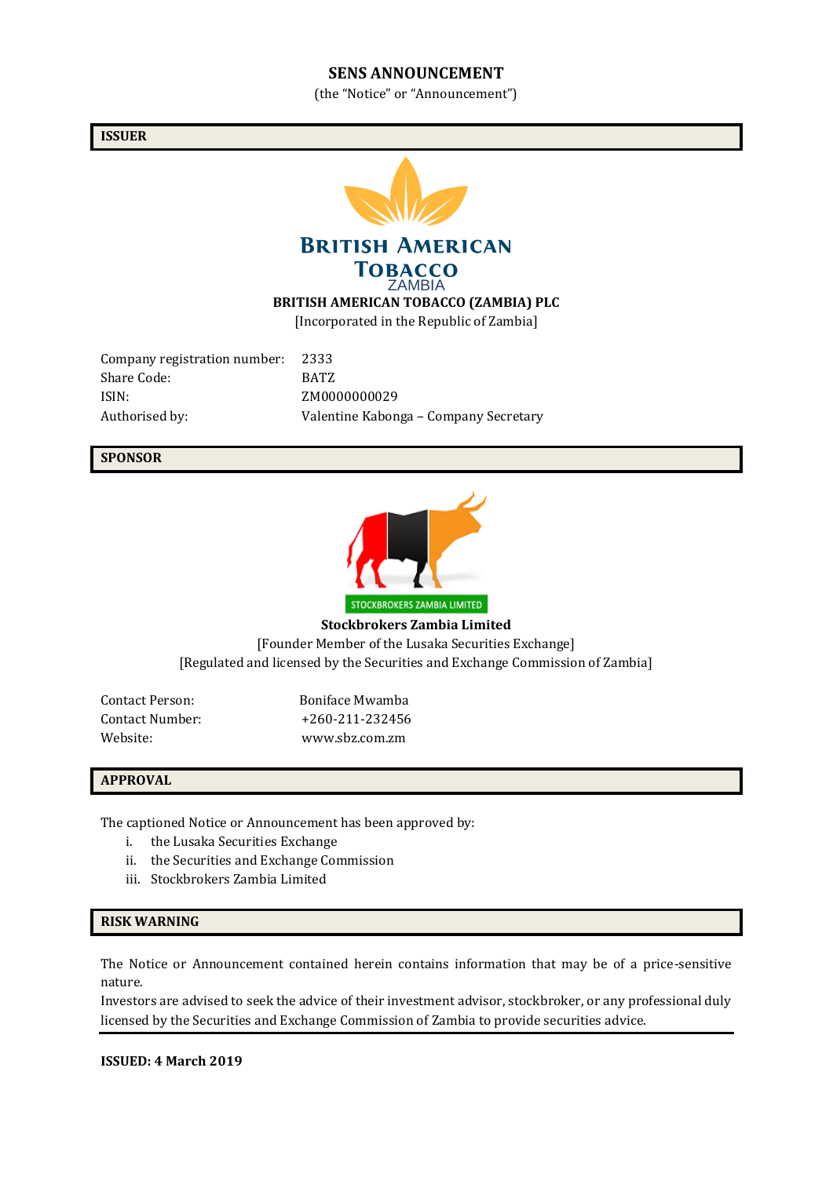#### **SENS ANNOUNCEMENT**

(the "Notice" or "Announcement")

**ISSUER**



Company registration number: 2333 Share Code: BATZ ISIN: ZM0000000029

Authorised by: Valentine Kabonga – Company Secretary

#### **SPONSOR**



**Stockbrokers Zambia Limited** [Founder Member of the Lusaka Securities Exchange] [Regulated and licensed by the Securities and Exchange Commission of Zambia]

Contact Person: Boniface Mwamba

Contact Number: +260-211-232456 Website: www.sbz.com.zm

#### **APPROVAL**

The captioned Notice or Announcement has been approved by:

- i. the Lusaka Securities Exchange
- ii. the Securities and Exchange Commission
- iii. Stockbrokers Zambia Limited

#### **RISK WARNING**

The Notice or Announcement contained herein contains information that may be of a price-sensitive nature.

Investors are advised to seek the advice of their investment advisor, stockbroker, or any professional duly licensed by the Securities and Exchange Commission of Zambia to provide securities advice.

**ISSUED: 4 March 2019**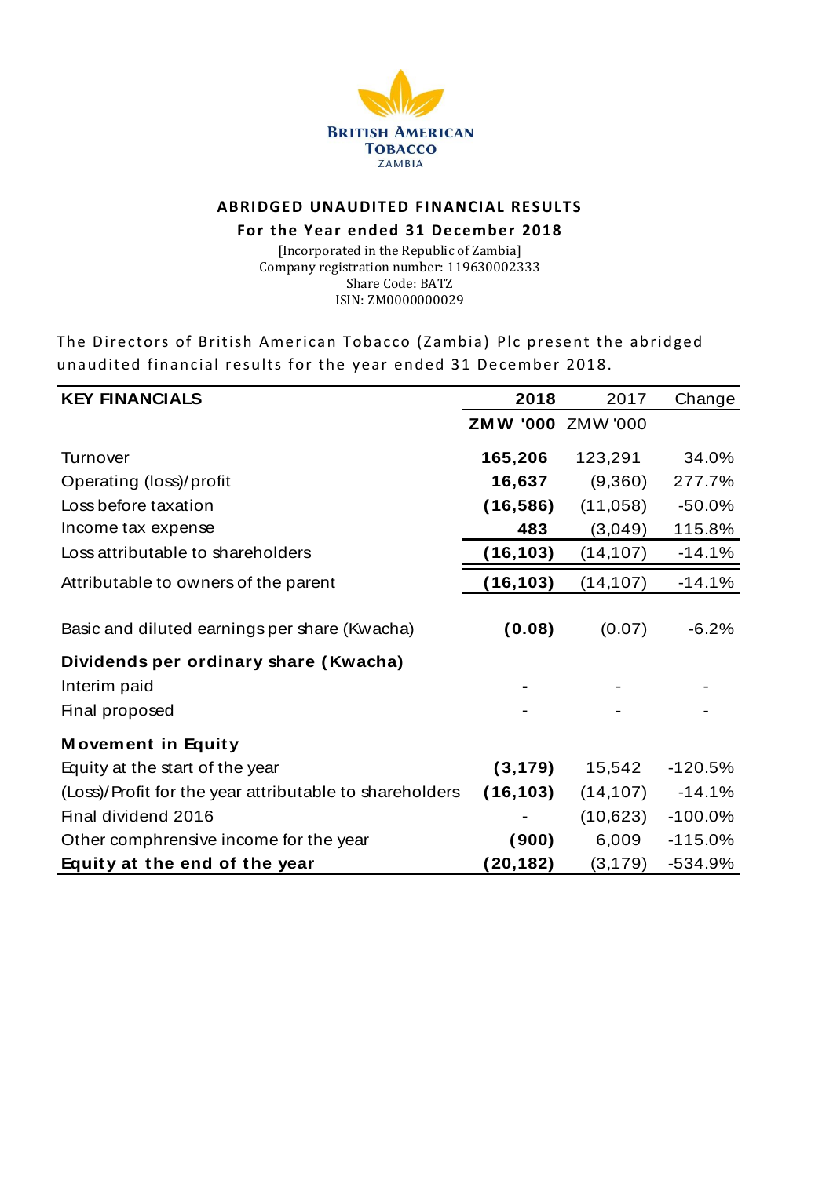

# **ABRIDGED UNAUDITED FINANCIAL RESULTS**

## **For the Year ended 31 December 2018**

[Incorporated in the Republic of Zambia] Company registration number: 119630002333 Share Code: BATZ ISIN: ZM0000000029

The Directors of British American Tobacco (Zambia) Plc present the abridged unaudited financial results for the year ended 31 December 2018.

| THE DITECTORS OF DITIISH AMERICAN TODACCO (ZAMDIA) FIC PRESENT THE ADITUREU<br>unaudited financial results for the year ended 31 December 2018. |                   |           |           |  |  |
|-------------------------------------------------------------------------------------------------------------------------------------------------|-------------------|-----------|-----------|--|--|
| <b>KEY FINANCIALS</b>                                                                                                                           | 2018              | 2017      | Change    |  |  |
|                                                                                                                                                 | ZMW '000 ZMW '000 |           |           |  |  |
| Turnover                                                                                                                                        | 165,206           | 123,291   | 34.0%     |  |  |
| Operating (loss)/profit                                                                                                                         | 16,637            | (9,360)   | 277.7%    |  |  |
| Loss before taxation                                                                                                                            | (16, 586)         | (11,058)  | $-50.0%$  |  |  |
| Income tax expense                                                                                                                              | 483               | (3,049)   | 115.8%    |  |  |
| Loss attributable to shareholders                                                                                                               | (16, 103)         | (14, 107) | $-14.1%$  |  |  |
| Attributable to owners of the parent                                                                                                            | (16, 103)         | (14, 107) | $-14.1%$  |  |  |
| Basic and diluted earnings per share (Kwacha)                                                                                                   | (0.08)            | (0.07)    | $-6.2%$   |  |  |
| Dividends per ordinary share (Kwacha)<br>Interim paid<br>Final proposed                                                                         |                   |           |           |  |  |
| <b>Movement in Equity</b>                                                                                                                       |                   |           |           |  |  |
| Equity at the start of the year                                                                                                                 | (3, 179)          | 15,542    | $-120.5%$ |  |  |
| (Loss)/Profit for the year attributable to shareholders                                                                                         | (16, 103)         | (14, 107) | $-14.1%$  |  |  |
| Final dividend 2016                                                                                                                             |                   | (10,623)  | $-100.0%$ |  |  |
| Other comphrensive income for the year                                                                                                          | (900)             | 6,009     | $-115.0%$ |  |  |
| Equity at the end of the year                                                                                                                   | (20, 182)         | (3, 179)  | -534.9%   |  |  |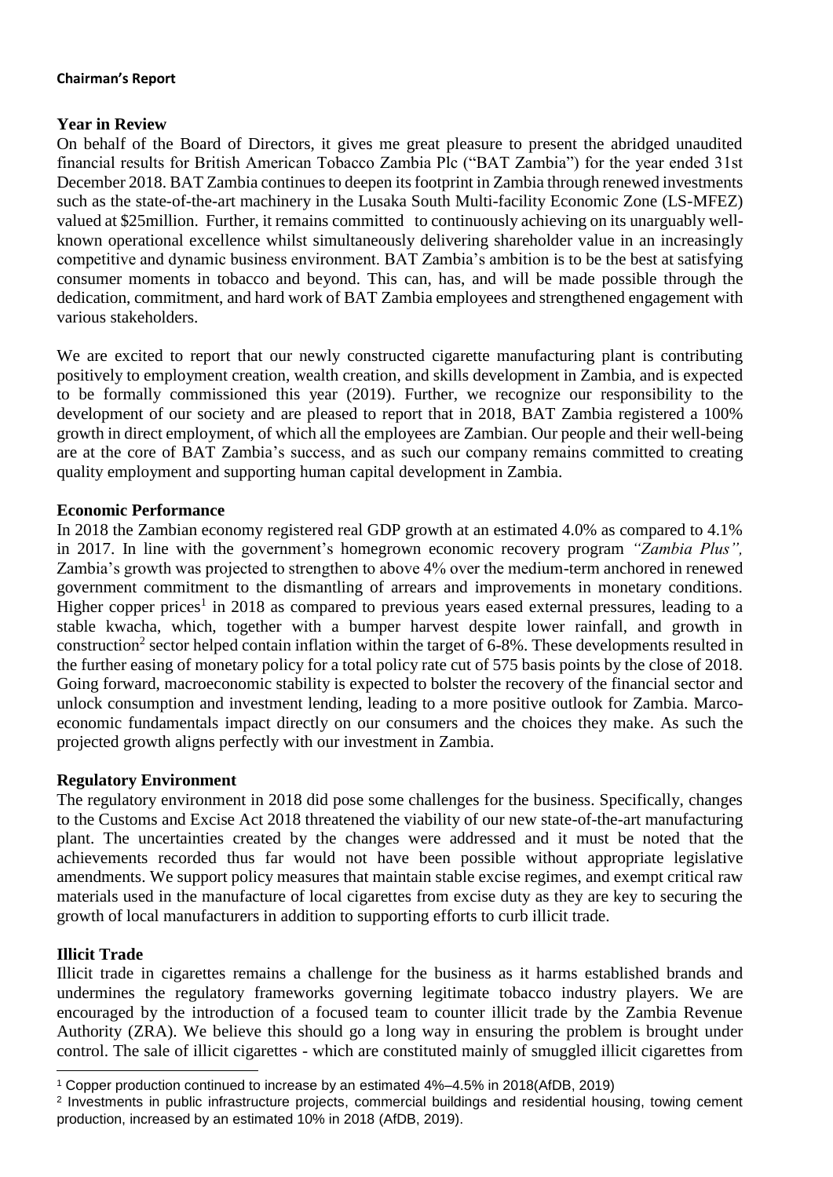#### **Chairman's Report**

## **Year in Review**

On behalf of the Board of Directors, it gives me great pleasure to present the abridged unaudited financial results for British American Tobacco Zambia Plc ("BAT Zambia") for the year ended 31st December 2018. BAT Zambia continues to deepen its footprint in Zambia through renewed investments such as the state-of-the-art machinery in the Lusaka South Multi-facility Economic Zone (LS-MFEZ) valued at \$25million. Further, it remains committed to continuously achieving on its unarguably wellknown operational excellence whilst simultaneously delivering shareholder value in an increasingly competitive and dynamic business environment. BAT Zambia's ambition is to be the best at satisfying consumer moments in tobacco and beyond. This can, has, and will be made possible through the dedication, commitment, and hard work of BAT Zambia employees and strengthened engagement with various stakeholders.

We are excited to report that our newly constructed cigarette manufacturing plant is contributing positively to employment creation, wealth creation, and skills development in Zambia, and is expected to be formally commissioned this year (2019). Further, we recognize our responsibility to the development of our society and are pleased to report that in 2018, BAT Zambia registered a 100% growth in direct employment, of which all the employees are Zambian. Our people and their well-being are at the core of BAT Zambia's success, and as such our company remains committed to creating quality employment and supporting human capital development in Zambia.

## **Economic Performance**

In 2018 the Zambian economy registered real GDP growth at an estimated 4.0% as compared to 4.1% in 2017. In line with the government's homegrown economic recovery program *"Zambia Plus",* Zambia's growth was projected to strengthen to above 4% over the medium-term anchored in renewed government commitment to the dismantling of arrears and improvements in monetary conditions. Higher copper prices<sup>1</sup> in 2018 as compared to previous years eased external pressures, leading to a stable kwacha, which, together with a bumper harvest despite lower rainfall, and growth in construction<sup>2</sup> sector helped contain inflation within the target of 6-8%. These developments resulted in the further easing of monetary policy for a total policy rate cut of 575 basis points by the close of 2018. Going forward, macroeconomic stability is expected to bolster the recovery of the financial sector and unlock consumption and investment lending, leading to a more positive outlook for Zambia. Marcoeconomic fundamentals impact directly on our consumers and the choices they make. As such the projected growth aligns perfectly with our investment in Zambia.

#### **Regulatory Environment**

The regulatory environment in 2018 did pose some challenges for the business. Specifically, changes to the Customs and Excise Act 2018 threatened the viability of our new state-of-the-art manufacturing plant. The uncertainties created by the changes were addressed and it must be noted that the achievements recorded thus far would not have been possible without appropriate legislative amendments. We support policy measures that maintain stable excise regimes, and exempt critical raw materials used in the manufacture of local cigarettes from excise duty as they are key to securing the growth of local manufacturers in addition to supporting efforts to curb illicit trade.

#### **Illicit Trade**

 $\overline{a}$ 

Illicit trade in cigarettes remains a challenge for the business as it harms established brands and undermines the regulatory frameworks governing legitimate tobacco industry players. We are encouraged by the introduction of a focused team to counter illicit trade by the Zambia Revenue Authority (ZRA). We believe this should go a long way in ensuring the problem is brought under control. The sale of illicit cigarettes - which are constituted mainly of smuggled illicit cigarettes from

<sup>1</sup> Copper production continued to increase by an estimated 4%–4.5% in 2018(AfDB, 2019)

<sup>2</sup> Investments in public infrastructure projects, commercial buildings and residential housing, towing cement production, increased by an estimated 10% in 2018 (AfDB, 2019).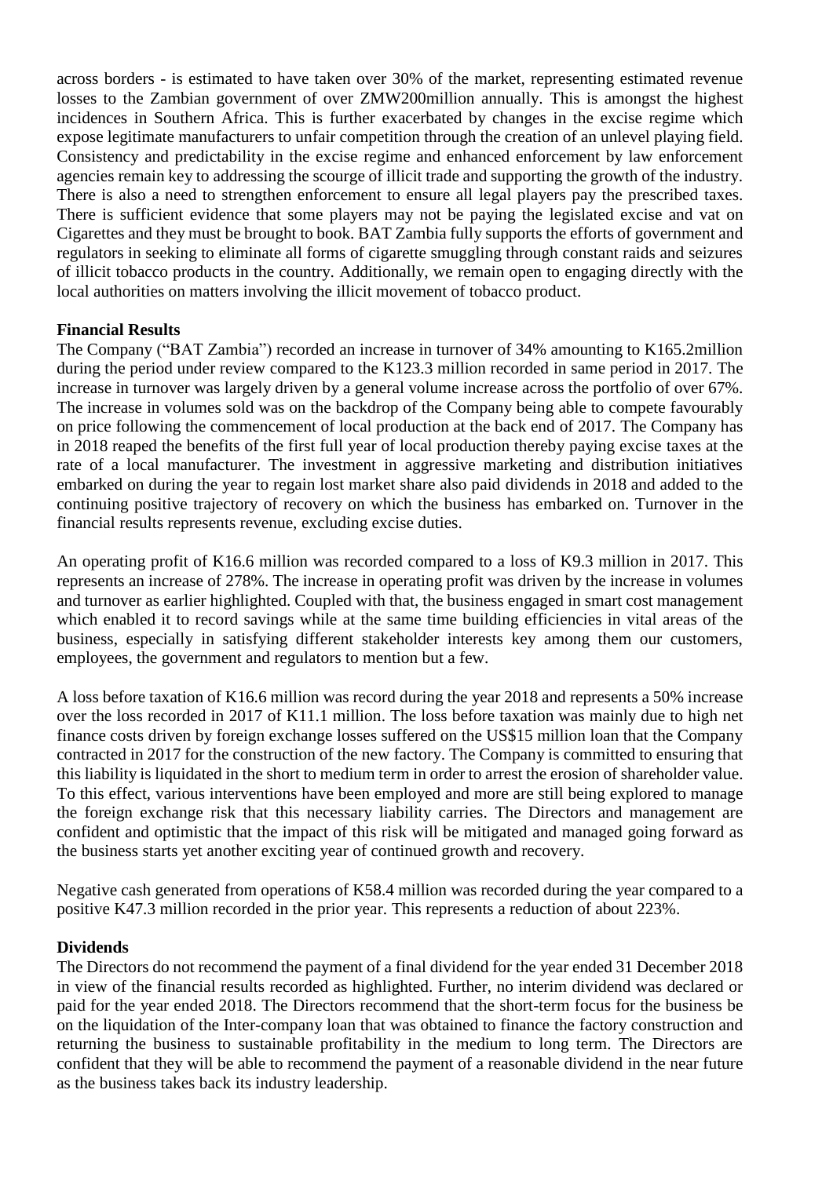across borders - is estimated to have taken over 30% of the market, representing estimated revenue losses to the Zambian government of over ZMW200million annually. This is amongst the highest incidences in Southern Africa. This is further exacerbated by changes in the excise regime which expose legitimate manufacturers to unfair competition through the creation of an unlevel playing field. Consistency and predictability in the excise regime and enhanced enforcement by law enforcement agencies remain key to addressing the scourge of illicit trade and supporting the growth of the industry. There is also a need to strengthen enforcement to ensure all legal players pay the prescribed taxes. There is sufficient evidence that some players may not be paying the legislated excise and vat on Cigarettes and they must be brought to book. BAT Zambia fully supports the efforts of government and regulators in seeking to eliminate all forms of cigarette smuggling through constant raids and seizures of illicit tobacco products in the country. Additionally, we remain open to engaging directly with the local authorities on matters involving the illicit movement of tobacco product.

# **Financial Results**

The Company ("BAT Zambia") recorded an increase in turnover of 34% amounting to K165.2million during the period under review compared to the K123.3 million recorded in same period in 2017. The increase in turnover was largely driven by a general volume increase across the portfolio of over 67%. The increase in volumes sold was on the backdrop of the Company being able to compete favourably on price following the commencement of local production at the back end of 2017. The Company has in 2018 reaped the benefits of the first full year of local production thereby paying excise taxes at the rate of a local manufacturer. The investment in aggressive marketing and distribution initiatives embarked on during the year to regain lost market share also paid dividends in 2018 and added to the continuing positive trajectory of recovery on which the business has embarked on. Turnover in the financial results represents revenue, excluding excise duties.

An operating profit of K16.6 million was recorded compared to a loss of K9.3 million in 2017. This represents an increase of 278%. The increase in operating profit was driven by the increase in volumes and turnover as earlier highlighted. Coupled with that, the business engaged in smart cost management which enabled it to record savings while at the same time building efficiencies in vital areas of the business, especially in satisfying different stakeholder interests key among them our customers, employees, the government and regulators to mention but a few.

A loss before taxation of K16.6 million was record during the year 2018 and represents a 50% increase over the loss recorded in 2017 of K11.1 million. The loss before taxation was mainly due to high net finance costs driven by foreign exchange losses suffered on the US\$15 million loan that the Company contracted in 2017 for the construction of the new factory. The Company is committed to ensuring that this liability is liquidated in the short to medium term in order to arrest the erosion of shareholder value. To this effect, various interventions have been employed and more are still being explored to manage the foreign exchange risk that this necessary liability carries. The Directors and management are confident and optimistic that the impact of this risk will be mitigated and managed going forward as the business starts yet another exciting year of continued growth and recovery.

Negative cash generated from operations of K58.4 million was recorded during the year compared to a positive K47.3 million recorded in the prior year. This represents a reduction of about 223%.

#### **Dividends**

The Directors do not recommend the payment of a final dividend for the year ended 31 December 2018 in view of the financial results recorded as highlighted. Further, no interim dividend was declared or paid for the year ended 2018. The Directors recommend that the short-term focus for the business be on the liquidation of the Inter-company loan that was obtained to finance the factory construction and returning the business to sustainable profitability in the medium to long term. The Directors are confident that they will be able to recommend the payment of a reasonable dividend in the near future as the business takes back its industry leadership.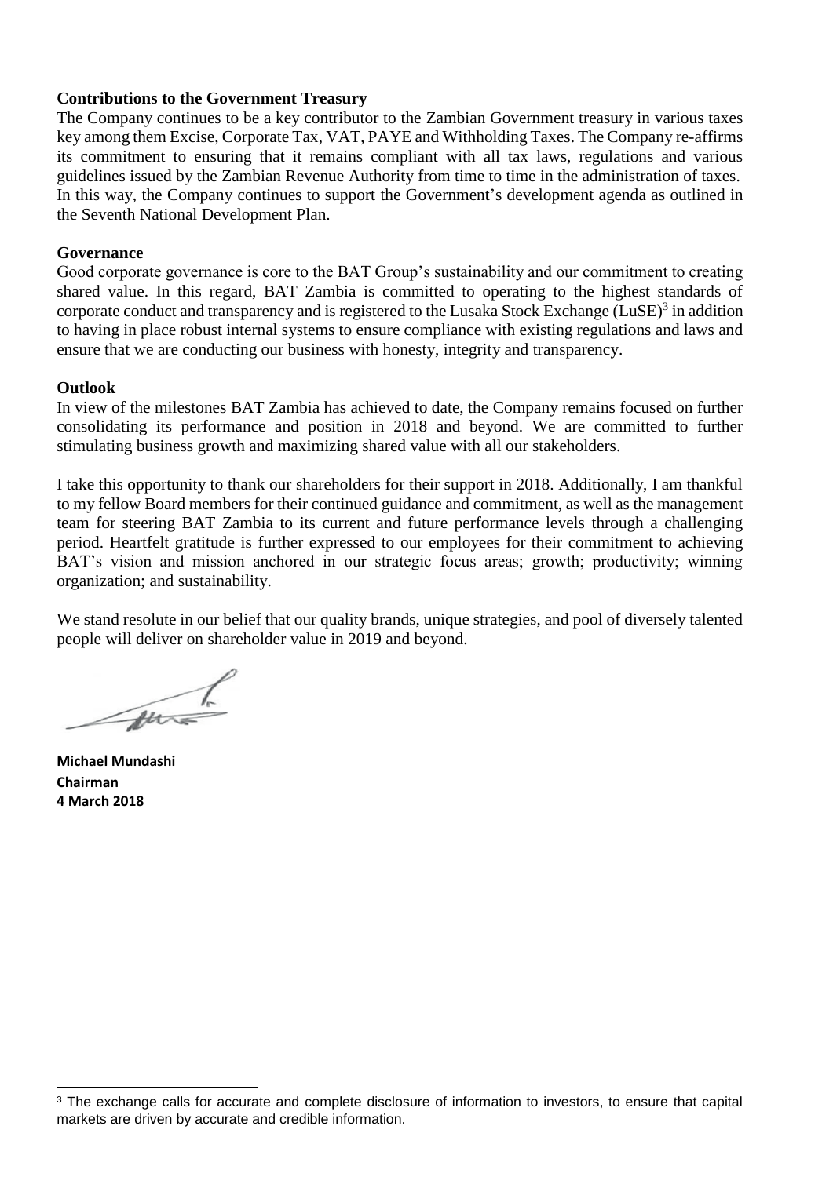## **Contributions to the Government Treasury**

The Company continues to be a key contributor to the Zambian Government treasury in various taxes key among them Excise, Corporate Tax, VAT, PAYE and Withholding Taxes. The Company re-affirms its commitment to ensuring that it remains compliant with all tax laws, regulations and various guidelines issued by the Zambian Revenue Authority from time to time in the administration of taxes. In this way, the Company continues to support the Government's development agenda as outlined in the Seventh National Development Plan.

#### **Governance**

Good corporate governance is core to the BAT Group's sustainability and our commitment to creating shared value. In this regard, BAT Zambia is committed to operating to the highest standards of corporate conduct and transparency and is registered to the Lusaka Stock Exchange (LuSE) $3$  in addition to having in place robust internal systems to ensure compliance with existing regulations and laws and ensure that we are conducting our business with honesty, integrity and transparency.

#### **Outlook**

In view of the milestones BAT Zambia has achieved to date, the Company remains focused on further consolidating its performance and position in 2018 and beyond. We are committed to further stimulating business growth and maximizing shared value with all our stakeholders.

I take this opportunity to thank our shareholders for their support in 2018. Additionally, I am thankful to my fellow Board members for their continued guidance and commitment, as well as the management team for steering BAT Zambia to its current and future performance levels through a challenging period. Heartfelt gratitude is further expressed to our employees for their commitment to achieving BAT's vision and mission anchored in our strategic focus areas; growth; productivity; winning organization; and sustainability.

We stand resolute in our belief that our quality brands, unique strategies, and pool of diversely talented people will deliver on shareholder value in 2019 and beyond.

m

**Michael Mundashi Chairman 4 March 2018**

 $\overline{a}$ 

<sup>&</sup>lt;sup>3</sup> The exchange calls for accurate and complete disclosure of information to investors, to ensure that capital markets are driven by accurate and credible information.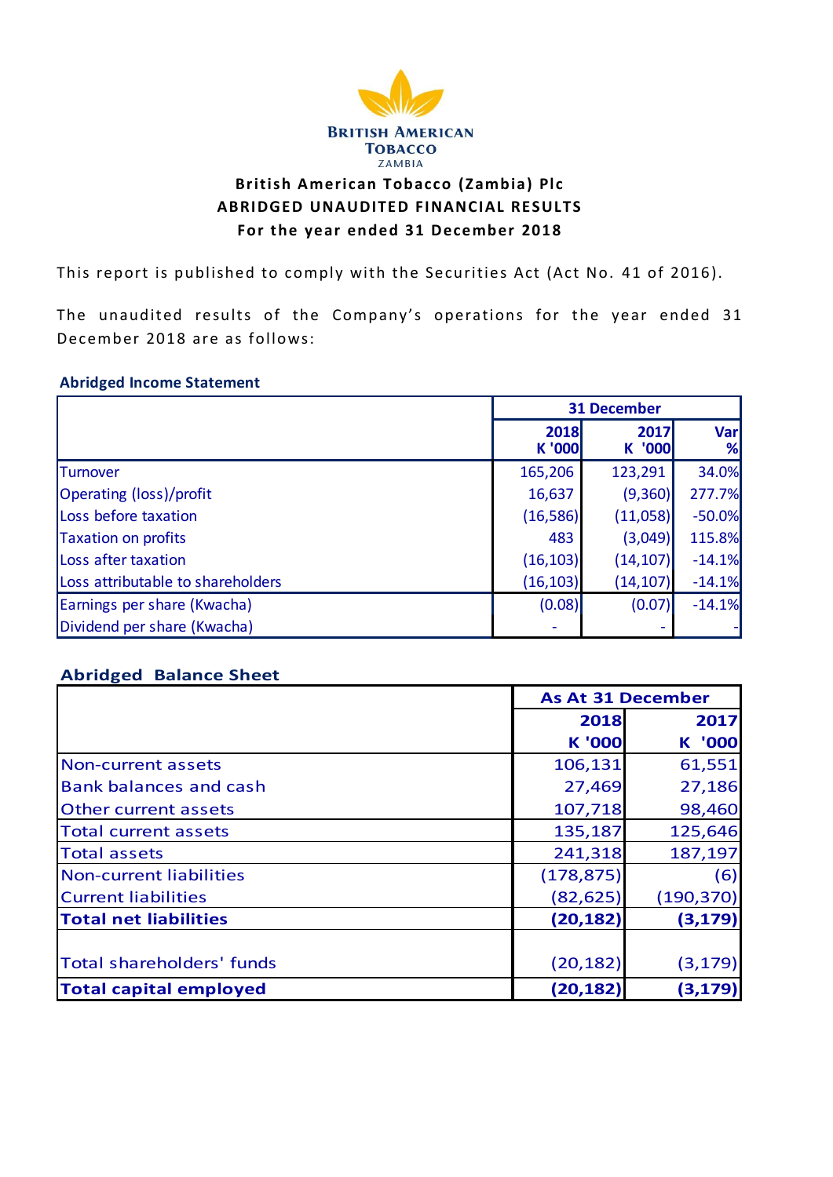

# **British American Tobacco (Zambia) Plc ABRIDGED UNAUDITED FINANCIAL RESULTS For the year ended 31 December 2018**

This report is published to comply with the Securities Act (Act No. 41 of 2016).

The unaudited results of the Company's operations for the year ended 31 December 2018 are as follows:

#### **Abridged Income Statement**

|                                   | <b>31 December</b> |                |          |
|-----------------------------------|--------------------|----------------|----------|
|                                   | 2018<br>K '000     | 2017<br>K '000 | Var<br>% |
| <b>Turnover</b>                   | 165,206            | 123,291        | 34.0%    |
| Operating (loss)/profit           | 16,637             | (9,360)        | 277.7%   |
| Loss before taxation              | (16, 586)          | (11,058)       | $-50.0%$ |
| <b>Taxation on profits</b>        | 483                | (3,049)        | 115.8%   |
| Loss after taxation               | (16, 103)          | (14, 107)      | $-14.1%$ |
| Loss attributable to shareholders | (16, 103)          | (14, 107)      | $-14.1%$ |
| Earnings per share (Kwacha)       | (0.08)             | (0.07)         | $-14.1%$ |
| Dividend per share (Kwacha)       |                    |                |          |

# **Abridged Balance Sheet**

|                                  | <b>As At 31 December</b> |            |  |
|----------------------------------|--------------------------|------------|--|
|                                  | 2018                     | 2017       |  |
|                                  | <b>K '000</b>            | '000<br>K. |  |
| Non-current assets               | 106,131                  | 61,551     |  |
| <b>Bank balances and cash</b>    | 27,469                   | 27,186     |  |
| <b>Other current assets</b>      | 107,718                  | 98,460     |  |
| <b>Total current assets</b>      | 135,187                  | 125,646    |  |
| <b>Total assets</b>              | 241,318                  | 187,197    |  |
| Non-current liabilities          | (178, 875)               | (6)        |  |
| <b>Current liabilities</b>       | (82, 625)                | (190, 370) |  |
| <b>Total net liabilities</b>     | (20, 182)                | (3, 179)   |  |
|                                  |                          |            |  |
| <b>Total shareholders' funds</b> | (20, 182)                | (3, 179)   |  |
| <b>Total capital employed</b>    | (20, 182)                | (3, 179)   |  |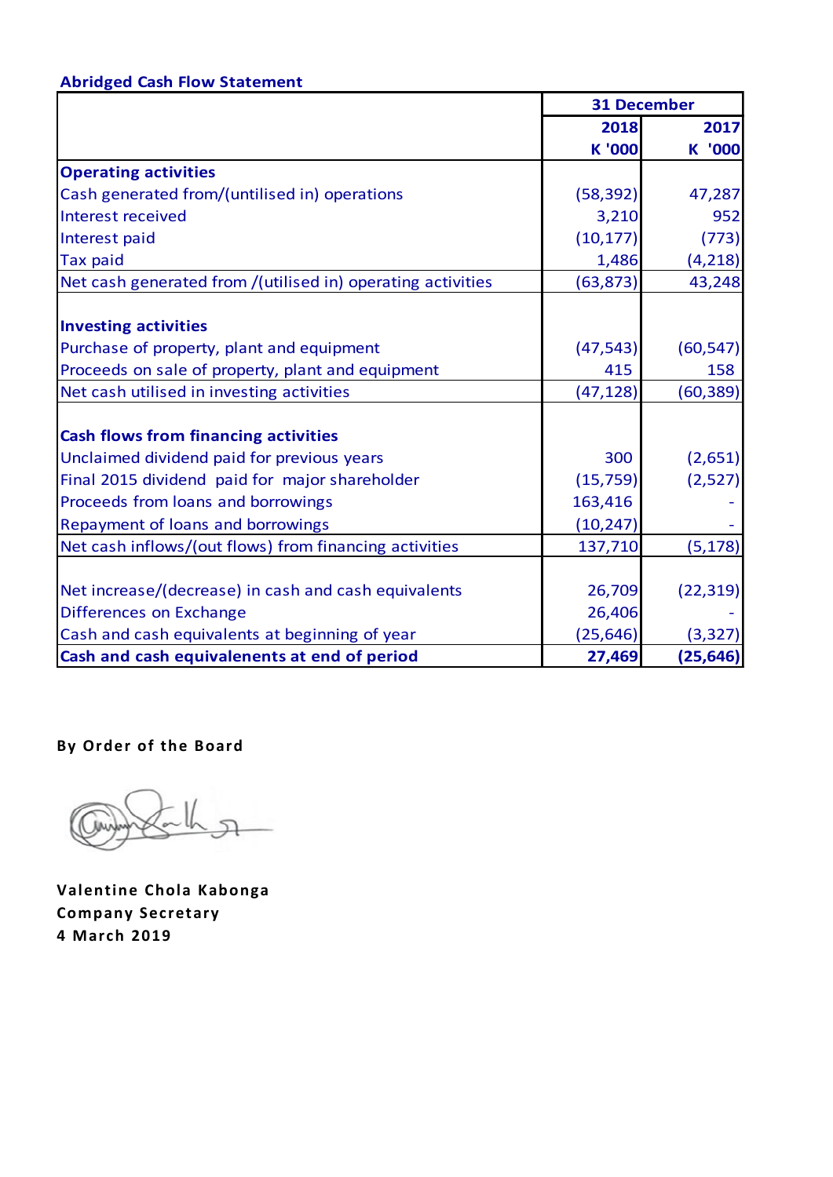# **Abridged Cash Flow Statement**

|                                                             |               | <b>31 December</b> |  |
|-------------------------------------------------------------|---------------|--------------------|--|
|                                                             | 2018          | 2017               |  |
|                                                             | <b>K</b> '000 | K '000             |  |
| <b>Operating activities</b>                                 |               |                    |  |
| Cash generated from/(untilised in) operations               | (58, 392)     | 47,287             |  |
| Interest received                                           | 3,210         | 952                |  |
| Interest paid                                               | (10, 177)     | (773)              |  |
| <b>Tax paid</b>                                             | 1,486         | (4, 218)           |  |
| Net cash generated from /(utilised in) operating activities | (63, 873)     | 43,248             |  |
| <b>Investing activities</b>                                 |               |                    |  |
| Purchase of property, plant and equipment                   | (47, 543)     | (60, 547)          |  |
| Proceeds on sale of property, plant and equipment           | 415           | 158                |  |
| Net cash utilised in investing activities                   | (47, 128)     | (60, 389)          |  |
| <b>Cash flows from financing activities</b>                 |               |                    |  |
| Unclaimed dividend paid for previous years                  | 300           | (2,651)            |  |
| Final 2015 dividend paid for major shareholder              | (15, 759)     | (2,527)            |  |
| Proceeds from loans and borrowings                          | 163,416       |                    |  |
| Repayment of loans and borrowings                           | (10, 247)     |                    |  |
| Net cash inflows/(out flows) from financing activities      | 137,710       | (5, 178)           |  |
|                                                             |               |                    |  |
| Net increase/(decrease) in cash and cash equivalents        | 26,709        | (22, 319)          |  |
| Differences on Exchange                                     | 26,406        |                    |  |
| Cash and cash equivalents at beginning of year              | (25, 646)     | (3, 327)           |  |
| Cash and cash equivalenents at end of period                | 27,469        | (25, 646)          |  |

**By Order of the Board**

**Valentine Chola Kabonga Company Secretary 4 March 2019**